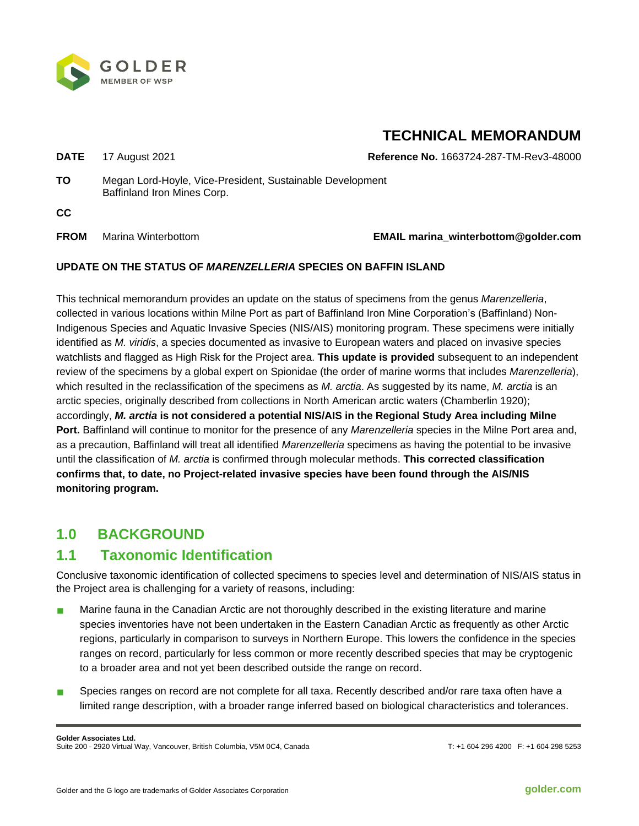

# **TECHNICAL MEMORANDUM**

**DATE** 17 August 2021 **Reference No.** 1663724-287-TM-Rev3-48000

**TO** Megan Lord-Hoyle, Vice-President, Sustainable Development Baffinland Iron Mines Corp.

**CC**

## **FROM** Marina Winterbottom **EMAIL marina\_winterbottom@golder.com**

## **UPDATE ON THE STATUS OF** *MARENZELLERIA* **SPECIES ON BAFFIN ISLAND**

This technical memorandum provides an update on the status of specimens from the genus *Marenzelleria*, collected in various locations within Milne Port as part of Baffinland Iron Mine Corporation's (Baffinland) Non-Indigenous Species and Aquatic Invasive Species (NIS/AIS) monitoring program. These specimens were initially identified as *M. viridis*, a species documented as invasive to European waters and placed on invasive species watchlists and flagged as High Risk for the Project area. **This update is provided** subsequent to an independent review of the specimens by a global expert on Spionidae (the order of marine worms that includes *Marenzelleria*), which resulted in the reclassification of the specimens as *M. arctia*. As suggested by its name, *M. arctia* is an arctic species, originally described from collections in North American arctic waters (Chamberlin 1920); accordingly, *M. arctia* **is not considered a potential NIS/AIS in the Regional Study Area including Milne Port.** Baffinland will continue to monitor for the presence of any *Marenzelleria* species in the Milne Port area and, as a precaution, Baffinland will treat all identified *Marenzelleria* specimens as having the potential to be invasive until the classification of *M. arctia* is confirmed through molecular methods. **This corrected classification confirms that, to date, no Project-related invasive species have been found through the AIS/NIS monitoring program.**

## **1.0 BACKGROUND**

## **1.1 Taxonomic Identification**

Conclusive taxonomic identification of collected specimens to species level and determination of NIS/AIS status in the Project area is challenging for a variety of reasons, including:

- Marine fauna in the Canadian Arctic are not thoroughly described in the existing literature and marine species inventories have not been undertaken in the Eastern Canadian Arctic as frequently as other Arctic regions, particularly in comparison to surveys in Northern Europe. This lowers the confidence in the species ranges on record, particularly for less common or more recently described species that may be cryptogenic to a broader area and not yet been described outside the range on record.
- Species ranges on record are not complete for all taxa. Recently described and/or rare taxa often have a limited range description, with a broader range inferred based on biological characteristics and tolerances.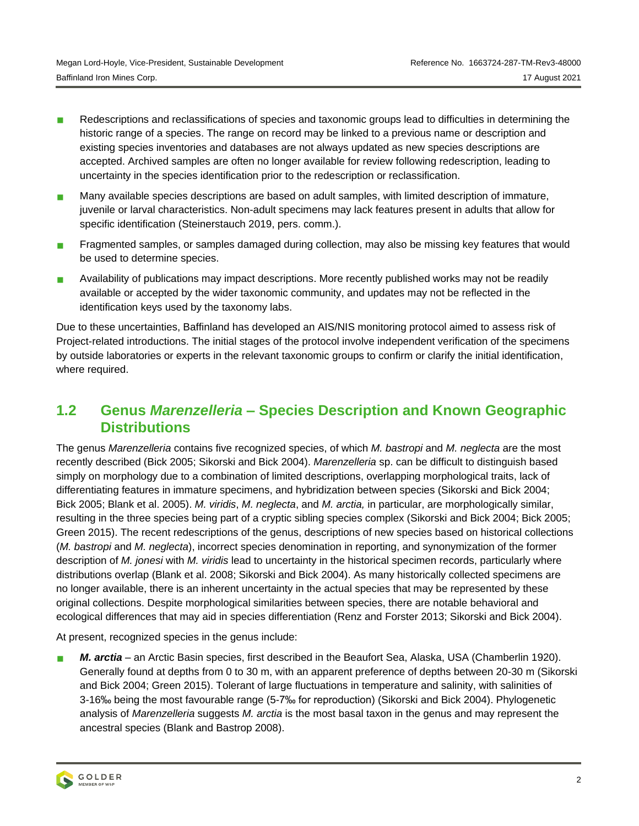- Redescriptions and reclassifications of species and taxonomic groups lead to difficulties in determining the historic range of a species. The range on record may be linked to a previous name or description and existing species inventories and databases are not always updated as new species descriptions are accepted. Archived samples are often no longer available for review following redescription, leading to uncertainty in the species identification prior to the redescription or reclassification.
- **Many available species descriptions are based on adult samples, with limited description of immature,** juvenile or larval characteristics. Non-adult specimens may lack features present in adults that allow for specific identification (Steinerstauch 2019, pers. comm.).
- **Fragmented samples, or samples damaged during collection, may also be missing key features that would** be used to determine species.
- **Availability of publications may impact descriptions. More recently published works may not be readily** available or accepted by the wider taxonomic community, and updates may not be reflected in the identification keys used by the taxonomy labs.

Due to these uncertainties, Baffinland has developed an AIS/NIS monitoring protocol aimed to assess risk of Project-related introductions. The initial stages of the protocol involve independent verification of the specimens by outside laboratories or experts in the relevant taxonomic groups to confirm or clarify the initial identification, where required.

## **1.2 Genus** *Marenzelleria –* **Species Description and Known Geographic Distributions**

The genus *Marenzelleria* contains five recognized species, of which *M. bastropi* and *M. neglecta* are the most recently described (Bick 2005; Sikorski and Bick 2004). *Marenzelleria* sp. can be difficult to distinguish based simply on morphology due to a combination of limited descriptions, overlapping morphological traits, lack of differentiating features in immature specimens, and hybridization between species (Sikorski and Bick 2004; Bick 2005; Blank et al. 2005). *M. viridis*, *M. neglecta*, and *M. arctia,* in particular, are morphologically similar, resulting in the three species being part of a cryptic sibling species complex (Sikorski and Bick 2004; Bick 2005; Green 2015). The recent redescriptions of the genus, descriptions of new species based on historical collections (*M. bastropi* and *M. neglecta*), incorrect species denomination in reporting, and synonymization of the former description of *M. jonesi* with *M. viridis* lead to uncertainty in the historical specimen records, particularly where distributions overlap (Blank et al. 2008; Sikorski and Bick 2004). As many historically collected specimens are no longer available, there is an inherent uncertainty in the actual species that may be represented by these original collections. Despite morphological similarities between species, there are notable behavioral and ecological differences that may aid in species differentiation (Renz and Forster 2013; Sikorski and Bick 2004).

At present, recognized species in the genus include:

 *M. arctia* – an Arctic Basin species, first described in the Beaufort Sea, Alaska, USA (Chamberlin 1920). Generally found at depths from 0 to 30 m, with an apparent preference of depths between 20-30 m (Sikorski and Bick 2004; Green 2015). Tolerant of large fluctuations in temperature and salinity, with salinities of 3-16‰ being the most favourable range (5-7‰ for reproduction) (Sikorski and Bick 2004). Phylogenetic analysis of *Marenzelleria* suggests *M. arctia* is the most basal taxon in the genus and may represent the ancestral species (Blank and Bastrop 2008).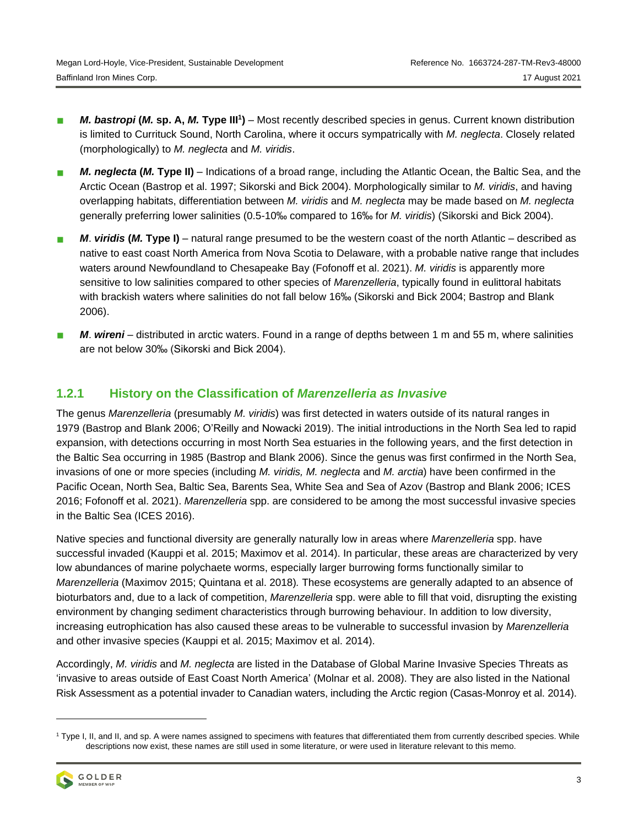- *M. bastropi* (*M.* sp. A, *M.* Type III<sup>1</sup>) Most recently described species in genus. Current known distribution is limited to Currituck Sound, North Carolina, where it occurs sympatrically with *M. neglecta*. Closely related (morphologically) to *M. neglecta* and *M. viridis*.
- *M. neglecta* **(***M.* **Type II)** Indications of a broad range, including the Atlantic Ocean, the Baltic Sea, and the Arctic Ocean (Bastrop et al. 1997; Sikorski and Bick 2004). Morphologically similar to *M. viridis*, and having overlapping habitats, differentiation between *M. viridis* and *M. neglecta* may be made based on *M. neglecta*  generally preferring lower salinities (0.5-10‰ compared to 16‰ for *M. viridis*) (Sikorski and Bick 2004).
- *M*. *viridis* **(***M.* **Type I)** natural range presumed to be the western coast of the north Atlantic described as native to east coast North America from Nova Scotia to Delaware, with a probable native range that includes waters around Newfoundland to Chesapeake Bay (Fofonoff et al. 2021). *M. viridis* is apparently more sensitive to low salinities compared to other species of *Marenzelleria*, typically found in eulittoral habitats with brackish waters where salinities do not fall below 16‰ (Sikorski and Bick 2004; Bastrop and Blank 2006).
- *M*. *wireni* distributed in arctic waters. Found in a range of depths between 1 m and 55 m, where salinities are not below 30‰ (Sikorski and Bick 2004).

## **1.2.1 History on the Classification of** *Marenzelleria as Invasive*

The genus *Marenzelleria* (presumably *M. viridis*) was first detected in waters outside of its natural ranges in 1979 (Bastrop and Blank 2006; O'Reilly and Nowacki 2019). The initial introductions in the North Sea led to rapid expansion, with detections occurring in most North Sea estuaries in the following years, and the first detection in the Baltic Sea occurring in 1985 (Bastrop and Blank 2006). Since the genus was first confirmed in the North Sea, invasions of one or more species (including *M. viridis, M. neglecta* and *M. arctia*) have been confirmed in the Pacific Ocean, North Sea, Baltic Sea, Barents Sea, White Sea and Sea of Azov (Bastrop and Blank 2006; ICES 2016; Fofonoff et al. 2021). *Marenzelleria* spp. are considered to be among the most successful invasive species in the Baltic Sea (ICES 2016).

Native species and functional diversity are generally naturally low in areas where *Marenzelleria* spp. have successful invaded (Kauppi et al. 2015; Maximov et al. 2014). In particular, these areas are characterized by very low abundances of marine polychaete worms, especially larger burrowing forms functionally similar to *Marenzelleria* (Maximov 2015; Quintana et al. 2018)*.* These ecosystems are generally adapted to an absence of bioturbators and, due to a lack of competition, *Marenzelleria* spp. were able to fill that void, disrupting the existing environment by changing sediment characteristics through burrowing behaviour. In addition to low diversity, increasing eutrophication has also caused these areas to be vulnerable to successful invasion by *Marenzelleria*  and other invasive species (Kauppi et al. 2015; Maximov et al. 2014).

Accordingly, *M. viridis* and *M. neglecta* are listed in the Database of Global Marine Invasive Species Threats as 'invasive to areas outside of East Coast North America' (Molnar et al. 2008). They are also listed in the National Risk Assessment as a potential invader to Canadian waters, including the Arctic region (Casas-Monroy et al. 2014).

<sup>&</sup>lt;sup>1</sup> Type I, II, and II, and sp. A were names assigned to specimens with features that differentiated them from currently described species. While descriptions now exist, these names are still used in some literature, or were used in literature relevant to this memo.

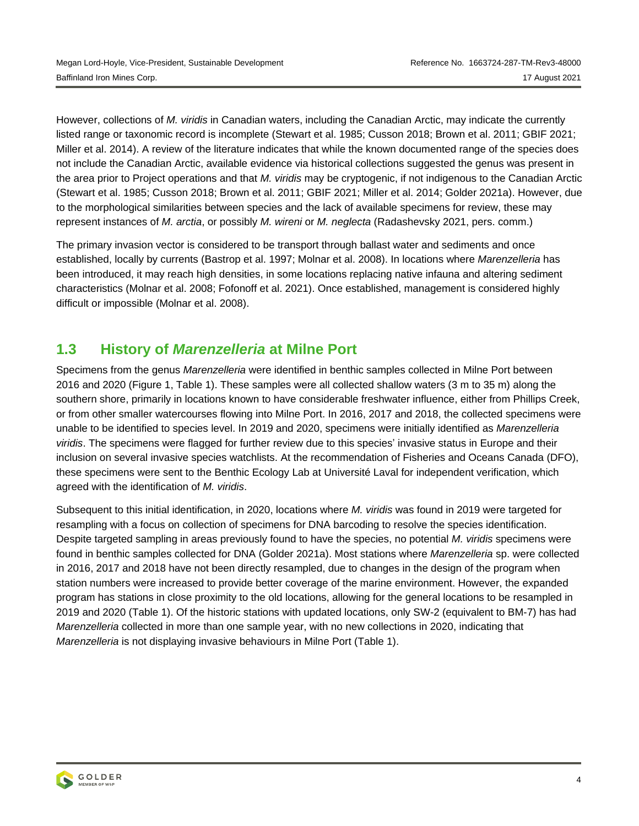However, collections of *M. viridis* in Canadian waters, including the Canadian Arctic, may indicate the currently listed range or taxonomic record is incomplete (Stewart et al. 1985; Cusson 2018; Brown et al. 2011; GBIF 2021; Miller et al. 2014). A review of the literature indicates that while the known documented range of the species does not include the Canadian Arctic, available evidence via historical collections suggested the genus was present in the area prior to Project operations and that *M. viridis* may be cryptogenic, if not indigenous to the Canadian Arctic (Stewart et al. 1985; Cusson 2018; Brown et al. 2011; GBIF 2021; Miller et al. 2014; Golder 2021a). However, due to the morphological similarities between species and the lack of available specimens for review, these may represent instances of *M. arctia*, or possibly *M. wireni* or *M. neglecta* (Radashevsky 2021, pers. comm.)

The primary invasion vector is considered to be transport through ballast water and sediments and once established, locally by currents (Bastrop et al. 1997; Molnar et al. 2008). In locations where *Marenzelleria* has been introduced, it may reach high densities, in some locations replacing native infauna and altering sediment characteristics (Molnar et al. 2008; Fofonoff et al. 2021). Once established, management is considered highly difficult or impossible (Molnar et al. 2008).

## **1.3 History of** *Marenzelleria* **at Milne Port**

Specimens from the genus *Marenzelleria* were identified in benthic samples collected in Milne Port between 2016 and 2020 (Figure 1, [Table](#page-5-0) 1). These samples were all collected shallow waters (3 m to 35 m) along the southern shore, primarily in locations known to have considerable freshwater influence, either from Phillips Creek, or from other smaller watercourses flowing into Milne Port. In 2016, 2017 and 2018, the collected specimens were unable to be identified to species level. In 2019 and 2020, specimens were initially identified as *Marenzelleria viridis*. The specimens were flagged for further review due to this species' invasive status in Europe and their inclusion on several invasive species watchlists. At the recommendation of Fisheries and Oceans Canada (DFO), these specimens were sent to the Benthic Ecology Lab at Université Laval for independent verification, which agreed with the identification of *M. viridis*.

Subsequent to this initial identification, in 2020, locations where *M. viridis* was found in 2019 were targeted for resampling with a focus on collection of specimens for DNA barcoding to resolve the species identification. Despite targeted sampling in areas previously found to have the species, no potential *M. viridis* specimens were found in benthic samples collected for DNA (Golder 2021a). Most stations where *Marenzelleria* sp. were collected in 2016, 2017 and 2018 have not been directly resampled, due to changes in the design of the program when station numbers were increased to provide better coverage of the marine environment. However, the expanded program has stations in close proximity to the old locations, allowing for the general locations to be resampled in 2019 and 2020 [\(Table](#page-5-0) 1). Of the historic stations with updated locations, only SW-2 (equivalent to BM-7) has had *Marenzelleria* collected in more than one sample year, with no new collections in 2020, indicating that *Marenzelleria* is not displaying invasive behaviours in Milne Port [\(Table](#page-5-0) 1).

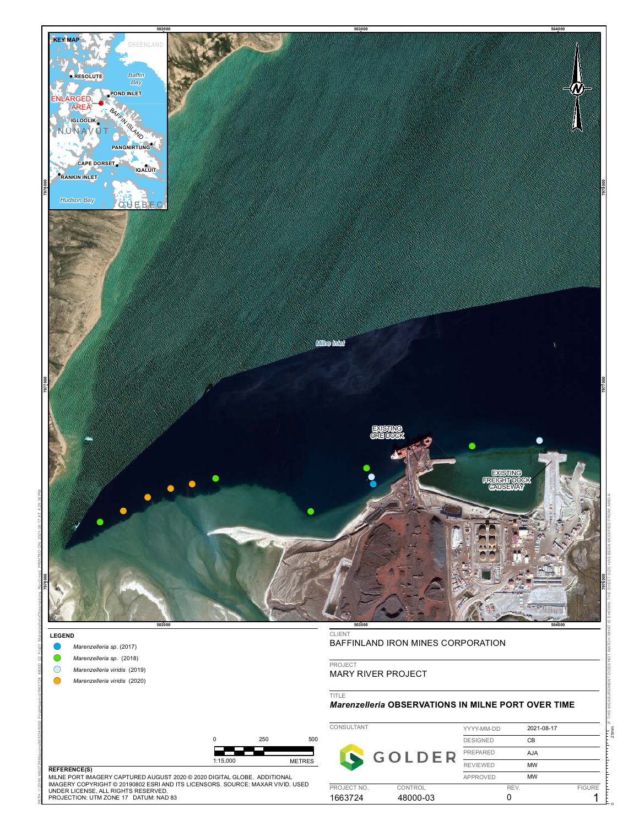

**Marenzelleria sp.** (2017)

PATH: I:\2016\1663724\Mapping\MXD\48000\_FinalHearing\1663724\_48000\_03\_Fig01\_MarenzelleriaObservations\_Rev0.mxd\_PRINTED ON: 2021-08-17 AT: 4:25:36 PM

- **Marenzelleria sp.** (2018)
- !( *Marenzelleria viridis* (2019)
- !( *Marenzelleria viridis* (2020)

PROJECT

MARY RIVER PROJECT

TITLE

#### *Marenzelleria* **OBSERVATIONS IN MILNE PORT OVER TIME**

|                                                                                                                                                                 |          |     |                        | CONSULTANT          |  | YYYY-MM-DD      | 2021-08-17    |  |
|-----------------------------------------------------------------------------------------------------------------------------------------------------------------|----------|-----|------------------------|---------------------|--|-----------------|---------------|--|
|                                                                                                                                                                 |          | 250 | 500                    |                     |  | <b>DESIGNED</b> | СB            |  |
|                                                                                                                                                                 |          |     |                        |                     |  | <b>PREPARED</b> | AJA           |  |
| <b>REFERENCE(S)</b>                                                                                                                                             | 1:15.000 |     | <b>METRES</b>          |                     |  | <b>REVIEWED</b> | <b>MW</b>     |  |
| MILNE PORT IMAGERY CAPTURED AUGUST 2020 © 2020 DIGITAL GLOBE. ADDITIONAL                                                                                        |          |     |                        |                     |  | APPROVED        | MW            |  |
| IMAGERY COPYRIGHT © 20190802 ESRI AND ITS LICENSORS. SOURCE: MAXAR VIVID. USED_<br>UNDER LICENSE. ALL RIGHTS RESERVED.<br>PROJECTION: UTM ZONE 17 DATUM: NAD 83 |          |     | PROJECT NO.<br>1663724 | CONTROL<br>48000-03 |  | <b>REV</b>      | <b>FIGURE</b> |  |

#### **REFERENCE(S)**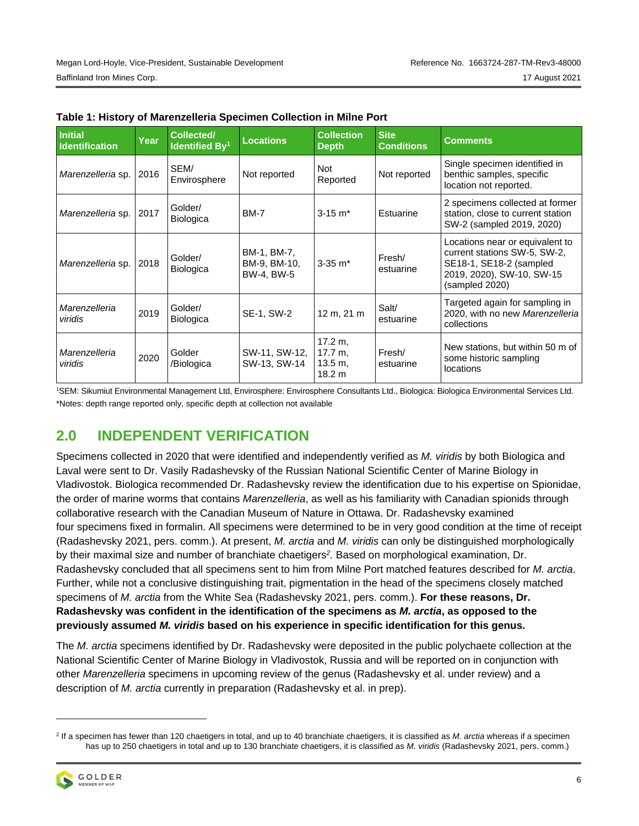| <b>Initial</b><br><b>Identification</b> | Year | Collected/<br><b>Identified By1</b> | <b>Locations</b>                          | <b>Collection</b><br><b>Depth</b>       | <b>Site</b><br><b>Conditions</b> | <b>Comments</b>                                                                                                                           |  |
|-----------------------------------------|------|-------------------------------------|-------------------------------------------|-----------------------------------------|----------------------------------|-------------------------------------------------------------------------------------------------------------------------------------------|--|
| Marenzelleria sp.                       | 2016 | SEM/<br>Envirosphere                | Not reported                              | Not<br>Reported                         | Not reported                     | Single specimen identified in<br>benthic samples, specific<br>location not reported.                                                      |  |
| Marenzelleria sp.                       | 2017 | Golder/<br><b>Biologica</b>         | <b>BM-7</b>                               | $3 - 15$ m <sup>*</sup>                 | Estuarine                        | 2 specimens collected at former<br>station, close to current station<br>SW-2 (sampled 2019, 2020)                                         |  |
| Marenzelleria sp.                       | 2018 | Golder/<br><b>Biologica</b>         | BM-1, BM-7,<br>BM-9, BM-10,<br>BW-4, BW-5 | $3-35$ m <sup>*</sup>                   | Fresh/<br>estuarine              | Locations near or equivalent to<br>current stations SW-5, SW-2,<br>SE18-1, SE18-2 (sampled<br>2019, 2020), SW-10, SW-15<br>(sampled 2020) |  |
| Marenzelleria<br>viridis                | 2019 | Golder/<br><b>Biologica</b>         | SE-1, SW-2                                | 12 m, 21 m                              | Salt/<br>estuarine               | Targeted again for sampling in<br>2020, with no new Marenzelleria<br>collections                                                          |  |
| Marenzelleria<br>viridis                | 2020 | Golder<br>/Biologica                | SW-11, SW-12,<br>SW-13, SW-14             | 17.2 m.<br>17.7 m.<br>13.5 m.<br>18.2 m | Fresh/<br>estuarine              | New stations, but within 50 m of<br>some historic sampling<br>locations                                                                   |  |

#### <span id="page-5-0"></span>**Table 1: History of Marenzelleria Specimen Collection in Milne Port**

<sup>1</sup>SEM: Sikumiut Environmental Management Ltd, Envirosphere: Envirosphere Consultants Ltd., Biologica: Biologica Environmental Services Ltd. \*Notes: depth range reported only, specific depth at collection not available

## **2.0 INDEPENDENT VERIFICATION**

Specimens collected in 2020 that were identified and independently verified as *M. viridis* by both Biologica and Laval were sent to Dr. Vasily Radashevsky of the Russian National Scientific Center of Marine Biology in Vladivostok. Biologica recommended Dr. Radashevsky review the identification due to his expertise on Spionidae, the order of marine worms that contains *Marenzelleria*, as well as his familiarity with Canadian spionids through collaborative research with the Canadian Museum of Nature in Ottawa. Dr. Radashevsky examined four specimens fixed in formalin. All specimens were determined to be in very good condition at the time of receipt (Radashevsky 2021, pers. comm.). At present, *M. arctia* and *M. viridis* can only be distinguished morphologically by their maximal size and number of branchiate chaetigers*<sup>2</sup> .* Based on morphological examination, Dr. Radashevsky concluded that all specimens sent to him from Milne Port matched features described for *M. arctia*. Further, while not a conclusive distinguishing trait, pigmentation in the head of the specimens closely matched specimens of *M. arctia* from the White Sea (Radashevsky 2021, pers. comm.). **For these reasons, Dr. Radashevsky was confident in the identification of the specimens as** *M. arctia***, as opposed to the previously assumed** *M. viridis* **based on his experience in specific identification for this genus.**

The *M. arctia* specimens identified by Dr. Radashevsky were deposited in the public polychaete collection at the National Scientific Center of Marine Biology in Vladivostok, Russia and will be reported on in conjunction with other *Marenzelleria* specimens in upcoming review of the genus (Radashevsky et al. under review) and a description of *M. arctia* currently in preparation (Radashevsky et al. in prep).

<sup>2</sup> If a specimen has fewer than 120 chaetigers in total, and up to 40 branchiate chaetigers, it is classified as *M. arctia* whereas if a specimen has up to 250 chaetigers in total and up to 130 branchiate chaetigers, it is classified as *M. viridis* (Radashevsky 2021, pers. comm.)

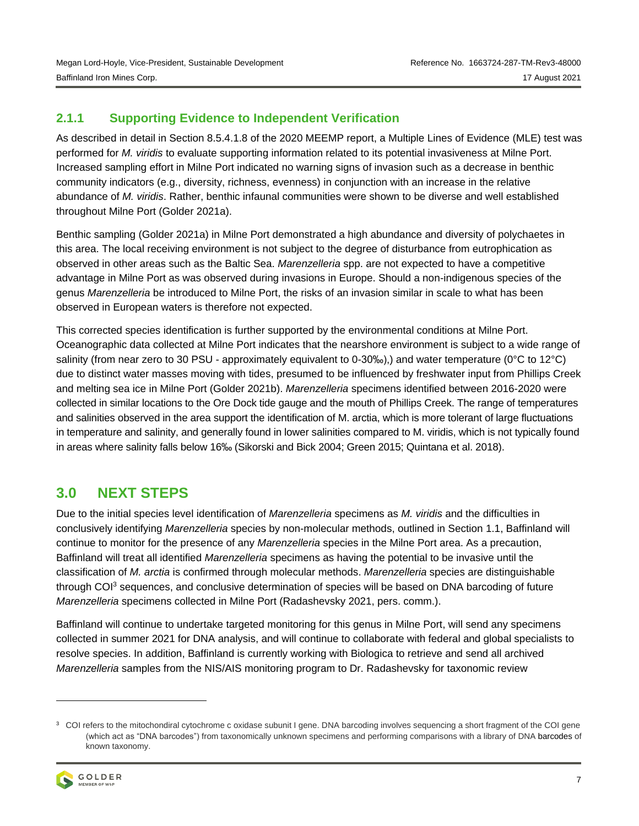## **2.1.1 Supporting Evidence to Independent Verification**

As described in detail in Section 8.5.4.1.8 of the 2020 MEEMP report, a Multiple Lines of Evidence (MLE) test was performed for *M. viridis* to evaluate supporting information related to its potential invasiveness at Milne Port. Increased sampling effort in Milne Port indicated no warning signs of invasion such as a decrease in benthic community indicators (e.g., diversity, richness, evenness) in conjunction with an increase in the relative abundance of *M. viridis*. Rather, benthic infaunal communities were shown to be diverse and well established throughout Milne Port (Golder 2021a).

Benthic sampling (Golder 2021a) in Milne Port demonstrated a high abundance and diversity of polychaetes in this area. The local receiving environment is not subject to the degree of disturbance from eutrophication as observed in other areas such as the Baltic Sea. *Marenzelleria* spp. are not expected to have a competitive advantage in Milne Port as was observed during invasions in Europe. Should a non-indigenous species of the genus *Marenzelleria* be introduced to Milne Port, the risks of an invasion similar in scale to what has been observed in European waters is therefore not expected.

This corrected species identification is further supported by the environmental conditions at Milne Port. Oceanographic data collected at Milne Port indicates that the nearshore environment is subject to a wide range of salinity (from near zero to 30 PSU - approximately equivalent to 0-30‰),) and water temperature (0°C to 12°C) due to distinct water masses moving with tides, presumed to be influenced by freshwater input from Phillips Creek and melting sea ice in Milne Port (Golder 2021b). *Marenzelleria* specimens identified between 2016-2020 were collected in similar locations to the Ore Dock tide gauge and the mouth of Phillips Creek. The range of temperatures and salinities observed in the area support the identification of M. arctia, which is more tolerant of large fluctuations in temperature and salinity, and generally found in lower salinities compared to M. viridis, which is not typically found in areas where salinity falls below 16‰ (Sikorski and Bick 2004; Green 2015; Quintana et al. 2018).

# **3.0 NEXT STEPS**

Due to the initial species level identification of *Marenzelleria* specimens as *M. viridis* and the difficulties in conclusively identifying *Marenzelleria* species by non-molecular methods, outlined in Section 1.1, Baffinland will continue to monitor for the presence of any *Marenzelleria* species in the Milne Port area. As a precaution, Baffinland will treat all identified *Marenzelleria* specimens as having the potential to be invasive until the classification of *M. arctia* is confirmed through molecular methods. *Marenzelleria* species are distinguishable through COI<sup>3</sup> sequences, and conclusive determination of species will be based on DNA barcoding of future *Marenzelleria* specimens collected in Milne Port (Radashevsky 2021, pers. comm.).

Baffinland will continue to undertake targeted monitoring for this genus in Milne Port, will send any specimens collected in summer 2021 for DNA analysis, and will continue to collaborate with federal and global specialists to resolve species. In addition, Baffinland is currently working with Biologica to retrieve and send all archived *Marenzelleria* samples from the NIS/AIS monitoring program to Dr. Radashevsky for taxonomic review

<sup>&</sup>lt;sup>3</sup> COI refers to the mitochondiral cytochrome c oxidase subunit I gene. DNA barcoding involves sequencing a short fragment of the COI gene (which act as "DNA barcodes") from taxonomically unknown specimens and performing comparisons with a library of [DNA](https://www.sciencedirect.com/topics/medicine-and-dentistry/dna-barcoding) barcodes of known taxonomy.

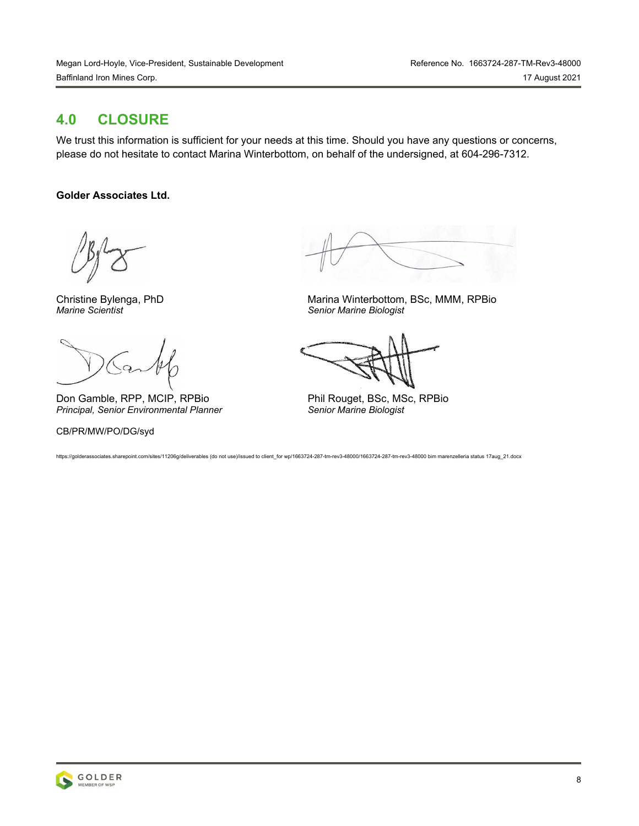## **4.0 CLOSURE**

We trust this information is sufficient for your needs at this time. Should you have any questions or concerns, please do not hesitate to contact Marina Winterbottom, on behalf of the undersigned, at 604-296-7312.

## **Golder Associates Ltd.**

Don Gamble, RPP, MCIP, RPBio Phil Rouget, BSc, MSc, RPBio **Principal, Senior Environmental Planner Senior Marine Biologist** *Principal, Senior Environmental Planner* 

CB/PR/MW/PO/DG/syd

Christine Bylenga, PhD<br>
Marina Winterbottom, BSc, MMM, RPBio<br>
Senior Marine Biologist *Marine Scientist Senior Marine Biologist* 

https://golderassociates.sharepoint.com/sites/11206g/deliverables (do not use)/issued to client\_for wp/1663724-287-tm-rev3-48000/1663724-287-tm-rev3-48000 bim marenzelleria status 17aug\_21.docx

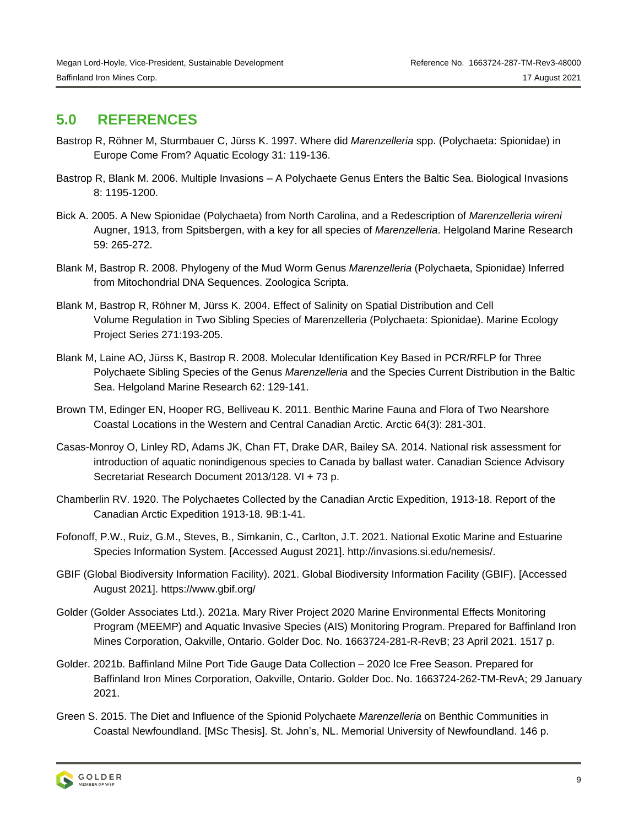## **5.0 REFERENCES**

- Bastrop R, Röhner M, Sturmbauer C, Jürss K. 1997. Where did *Marenzelleria* spp. (Polychaeta: Spionidae) in Europe Come From? Aquatic Ecology 31: 119-136.
- Bastrop R, Blank M. 2006. Multiple Invasions A Polychaete Genus Enters the Baltic Sea. Biological Invasions 8: 1195-1200.
- Bick A. 2005. A New Spionidae (Polychaeta) from North Carolina, and a Redescription of *Marenzelleria wireni*  Augner, 1913, from Spitsbergen, with a key for all species of *Marenzelleria*. Helgoland Marine Research 59: 265-272.
- Blank M, Bastrop R. 2008. Phylogeny of the Mud Worm Genus *Marenzelleria* (Polychaeta, Spionidae) Inferred from Mitochondrial DNA Sequences. Zoologica Scripta.
- Blank M, Bastrop R, Röhner M, Jürss K. 2004. Effect of Salinity on Spatial Distribution and Cell Volume Regulation in Two Sibling Species of Marenzelleria (Polychaeta: Spionidae). Marine Ecology Project Series 271:193-205.
- Blank M, Laine AO, Jürss K, Bastrop R. 2008. Molecular Identification Key Based in PCR/RFLP for Three Polychaete Sibling Species of the Genus *Marenzelleria* and the Species Current Distribution in the Baltic Sea. Helgoland Marine Research 62: 129-141.
- Brown TM, Edinger EN, Hooper RG, Belliveau K. 2011. Benthic Marine Fauna and Flora of Two Nearshore Coastal Locations in the Western and Central Canadian Arctic. Arctic 64(3): 281-301.
- Casas-Monroy O, Linley RD, Adams JK, Chan FT, Drake DAR, Bailey SA. 2014. National risk assessment for introduction of aquatic nonindigenous species to Canada by ballast water. Canadian Science Advisory Secretariat Research Document 2013/128. VI + 73 p.
- Chamberlin RV. 1920. The Polychaetes Collected by the Canadian Arctic Expedition, 1913-18. Report of the Canadian Arctic Expedition 1913-18. 9B:1-41.
- Fofonoff, P.W., Ruiz, G.M., Steves, B., Simkanin, C., Carlton, J.T. 2021. National Exotic Marine and Estuarine Species Information System. [Accessed August 2021]. [http://invasions.si.edu/nemesis/.](http://invasions.si.edu/nemesis/)
- GBIF (Global Biodiversity Information Facility). 2021. Global Biodiversity Information Facility (GBIF). [Accessed August 2021].<https://www.gbif.org/>
- Golder (Golder Associates Ltd.). 2021a. Mary River Project 2020 Marine Environmental Effects Monitoring Program (MEEMP) and Aquatic Invasive Species (AIS) Monitoring Program. Prepared for Baffinland Iron Mines Corporation, Oakville, Ontario. Golder Doc. No. 1663724-281-R-RevB; 23 April 2021. 1517 p.
- Golder. 2021b. Baffinland Milne Port Tide Gauge Data Collection 2020 Ice Free Season. Prepared for Baffinland Iron Mines Corporation, Oakville, Ontario. Golder Doc. No. 1663724-262-TM-RevA; 29 January 2021.
- Green S. 2015. The Diet and Influence of the Spionid Polychaete *Marenzelleria* on Benthic Communities in Coastal Newfoundland. [MSc Thesis]. St. John's, NL. Memorial University of Newfoundland. 146 p.